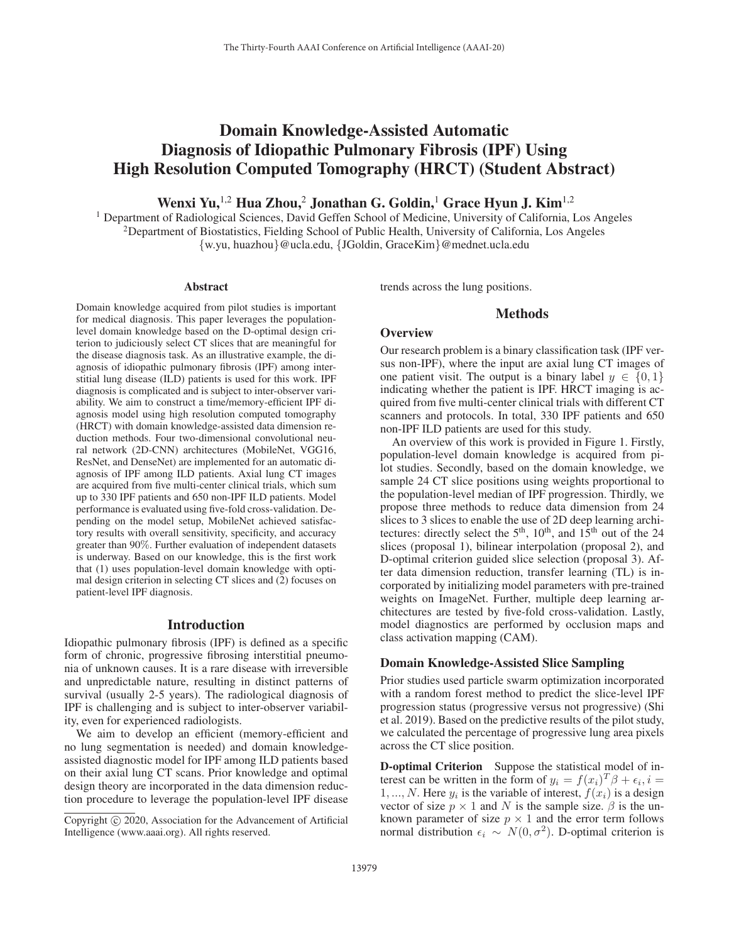# Domain Knowledge-Assisted Automatic Diagnosis of Idiopathic Pulmonary Fibrosis (IPF) Using High Resolution Computed Tomography (HRCT) (Student Abstract)

Wenxi Yu,  $^{1,2}$  Hua Zhou, $^2$  Jonathan G. Goldin, $^1$  Grace Hyun J. Kim $^{1,2}$ 

<sup>1</sup> Department of Radiological Sciences, David Geffen School of Medicine, University of California, Los Angeles  $2D$ epartment of Biostatistics, Fielding School of Public Health, University of California, Los Angeles {w.yu, huazhou}@ucla.edu, {JGoldin, GraceKim}@mednet.ucla.edu

#### Abstract

Domain knowledge acquired from pilot studies is important for medical diagnosis. This paper leverages the populationlevel domain knowledge based on the D-optimal design criterion to judiciously select CT slices that are meaningful for the disease diagnosis task. As an illustrative example, the diagnosis of idiopathic pulmonary fibrosis (IPF) among interstitial lung disease (ILD) patients is used for this work. IPF diagnosis is complicated and is subject to inter-observer variability. We aim to construct a time/memory-efficient IPF diagnosis model using high resolution computed tomography (HRCT) with domain knowledge-assisted data dimension reduction methods. Four two-dimensional convolutional neural network (2D-CNN) architectures (MobileNet, VGG16, ResNet, and DenseNet) are implemented for an automatic diagnosis of IPF among ILD patients. Axial lung CT images are acquired from five multi-center clinical trials, which sum up to 330 IPF patients and 650 non-IPF ILD patients. Model performance is evaluated using five-fold cross-validation. Depending on the model setup, MobileNet achieved satisfactory results with overall sensitivity, specificity, and accuracy greater than 90%. Further evaluation of independent datasets is underway. Based on our knowledge, this is the first work that (1) uses population-level domain knowledge with optimal design criterion in selecting CT slices and (2) focuses on patient-level IPF diagnosis.

### Introduction

Idiopathic pulmonary fibrosis (IPF) is defined as a specific form of chronic, progressive fibrosing interstitial pneumonia of unknown causes. It is a rare disease with irreversible and unpredictable nature, resulting in distinct patterns of survival (usually 2-5 years). The radiological diagnosis of IPF is challenging and is subject to inter-observer variability, even for experienced radiologists.

We aim to develop an efficient (memory-efficient and no lung segmentation is needed) and domain knowledgeassisted diagnostic model for IPF among ILD patients based on their axial lung CT scans. Prior knowledge and optimal design theory are incorporated in the data dimension reduction procedure to leverage the population-level IPF disease trends across the lung positions.

# Methods

#### **Overview**

Our research problem is a binary classification task (IPF versus non-IPF), where the input are axial lung CT images of one patient visit. The output is a binary label  $y \in \{0, 1\}$ indicating whether the patient is IPF. HRCT imaging is acquired from five multi-center clinical trials with different CT scanners and protocols. In total, 330 IPF patients and 650 non-IPF ILD patients are used for this study.

An overview of this work is provided in Figure 1. Firstly, population-level domain knowledge is acquired from pilot studies. Secondly, based on the domain knowledge, we sample 24 CT slice positions using weights proportional to the population-level median of IPF progression. Thirdly, we propose three methods to reduce data dimension from 24 slices to 3 slices to enable the use of 2D deep learning architectures: directly select the  $5<sup>th</sup>$ ,  $10<sup>th</sup>$ , and  $15<sup>th</sup>$  out of the 24 slices (proposal 1), bilinear interpolation (proposal 2), and D-optimal criterion guided slice selection (proposal 3). After data dimension reduction, transfer learning (TL) is incorporated by initializing model parameters with pre-trained weights on ImageNet. Further, multiple deep learning architectures are tested by five-fold cross-validation. Lastly, model diagnostics are performed by occlusion maps and class activation mapping (CAM).

#### Domain Knowledge-Assisted Slice Sampling

Prior studies used particle swarm optimization incorporated with a random forest method to predict the slice-level IPF progression status (progressive versus not progressive) (Shi et al. 2019). Based on the predictive results of the pilot study, we calculated the percentage of progressive lung area pixels across the CT slice position.

D-optimal Criterion Suppose the statistical model of interest can be written in the form of  $y_i = f(x_i)^T \beta + \epsilon_i, i =$ 1, ..., N. Here  $y_i$  is the variable of interest,  $f(x_i)$  is a design vector of size  $p \times 1$  and N is the sample size.  $\beta$  is the unknown parameter of size  $p \times 1$  and the error term follows normal distribution  $\epsilon_i \sim N(0, \sigma^2)$ . D-optimal criterion is

Copyright  $\odot$  2020, Association for the Advancement of Artificial Intelligence (www.aaai.org). All rights reserved.